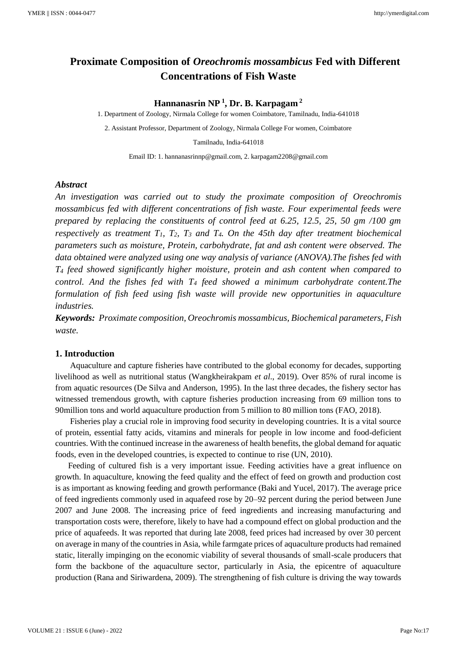# **Proximate Composition of** *Oreochromis mossambicus* **Fed with Different Concentrations of Fish Waste**

# **Hannanasrin NP <sup>1</sup> , Dr. B. Karpagam <sup>2</sup>**

1. Department of Zoology, Nirmala College for women Coimbatore, Tamilnadu, India-641018

2. Assistant Professor, Department of Zoology, Nirmala College For women, Coimbatore

Tamilnadu, India-641018

Email ID: 1. hannanasrinnp@gmail.com, 2. karpagam2208@gmail.com

## *Abstract*

*An investigation was carried out to study the proximate composition of Oreochromis mossambicus fed with different concentrations of fish waste. Four experimental feeds were prepared by replacing the constituents of control feed at 6.25, 12.5, 25, 50 gm /100 gm respectively as treatment T1, T2, T<sup>3</sup> and T4. On the 45th day after treatment biochemical parameters such as moisture, Protein, carbohydrate, fat and ash content were observed. The data obtained were analyzed using one way analysis of variance (ANOVA).The fishes fed with T<sup>4</sup> feed showed significantly higher moisture, protein and ash content when compared to control. And the fishes fed with T<sup>4</sup> feed showed a minimum carbohydrate content.The formulation of fish feed using fish waste will provide new opportunities in aquaculture industries.*

*Keywords: Proximate composition, Oreochromis mossambicus, Biochemical parameters, Fish waste.*

# **1. Introduction**

 Aquaculture and capture fisheries have contributed to the global economy for decades, supporting livelihood as well as nutritional status (Wangkheirakpam *et al*., 2019). Over 85% of rural income is from aquatic resources (De Silva and Anderson, 1995). In the last three decades, the fishery sector has witnessed tremendous growth, with capture fisheries production increasing from 69 million tons to 90million tons and world aquaculture production from 5 million to 80 million tons (FAO, 2018).

 Fisheries play a crucial role in improving food security in developing countries. It is a vital source of protein, essential fatty acids, vitamins and minerals for people in low income and food-deficient countries. With the continued increase in the awareness of health benefits, the global demand for aquatic foods, even in the developed countries, is expected to continue to rise (UN, 2010).

 Feeding of cultured fish is a very important issue. Feeding activities have a great influence on growth. In aquaculture, knowing the feed quality and the effect of feed on growth and production cost is as important as knowing feeding and growth performance (Baki and Yucel, 2017). The average price of feed ingredients commonly used in aquafeed rose by 20–92 percent during the period between June 2007 and June 2008. The increasing price of feed ingredients and increasing manufacturing and transportation costs were, therefore, likely to have had a compound effect on global production and the price of aquafeeds. It was reported that during late 2008, feed prices had increased by over 30 percent on average in many of the countries in Asia, while farmgate prices of aquaculture products had remained static, literally impinging on the economic viability of several thousands of small-scale producers that form the backbone of the aquaculture sector, particularly in Asia, the epicentre of aquaculture production (Rana and Siriwardena, 2009). The strengthening of fish culture is driving the way towards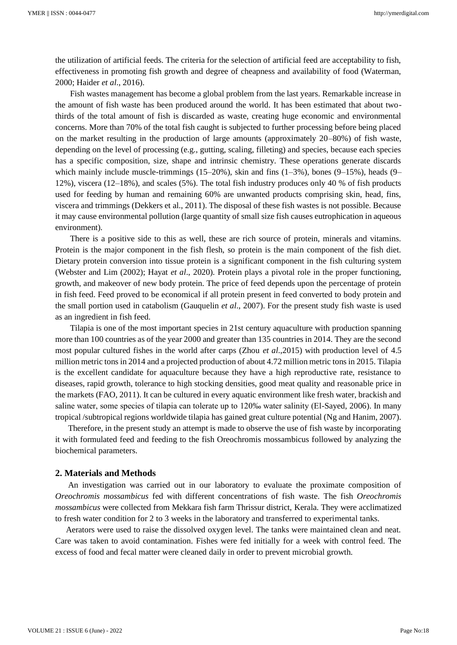the utilization of artificial feeds. The criteria for the selection of artificial feed are acceptability to fish, effectiveness in promoting fish growth and degree of cheapness and availability of food (Waterman, 2000; Haider *et al*., 2016).

 Fish wastes management has become a global problem from the last years. Remarkable increase in the amount of fish waste has been produced around the world. It has been estimated that about twothirds of the total amount of fish is discarded as waste, creating huge economic and environmental concerns. More than 70% of the total fish caught is subjected to further processing before being placed on the market resulting in the production of large amounts (approximately 20–80%) of fish waste, depending on the level of processing (e.g., gutting, scaling, filleting) and species, because each species has a specific composition, size, shape and intrinsic chemistry. These operations generate discards which mainly include muscle-trimmings (15–20%), skin and fins  $(1-3\%)$ , bones  $(9-15\%)$ , heads  $(9-$ 12%), viscera (12–18%), and scales (5%). The total fish industry produces only 40 % of fish products used for feeding by human and remaining 60% are unwanted products comprising skin, head, fins, viscera and trimmings (Dekkers et al., 2011). The disposal of these fish wastes is not possible. Because it may cause environmental pollution (large quantity of small size fish causes eutrophication in aqueous environment).

 There is a positive side to this as well, these are rich source of protein, minerals and vitamins. Protein is the major component in the fish flesh, so protein is the main component of the fish diet. Dietary protein conversion into tissue protein is a significant component in the fish culturing system (Webster and Lim (2002); Hayat *et al*., 2020). Protein plays a pivotal role in the proper functioning, growth, and makeover of new body protein. The price of feed depends upon the percentage of protein in fish feed. Feed proved to be economical if all protein present in feed converted to body protein and the small portion used in catabolism (Gauquelin *et al*., 2007). For the present study fish waste is used as an ingredient in fish feed.

 Tilapia is one of the most important species in 21st century aquaculture with production spanning more than 100 countries as of the year 2000 and greater than 135 countries in 2014. They are the second most popular cultured fishes in the world after carps (Zhou *et al*.,2015) with production level of 4.5 million metric tons in 2014 and a projected production of about 4.72 million metric tons in 2015. Tilapia is the excellent candidate for aquaculture because they have a high reproductive rate, resistance to diseases, rapid growth, tolerance to high stocking densities, good meat quality and reasonable price in the markets (FAO, 2011). It can be cultured in every aquatic environment like fresh water, brackish and saline water, some species of tilapia can tolerate up to 120‰ water salinity (El-Sayed, 2006). In many tropical /subtropical regions worldwide tilapia has gained great culture potential (Ng and Hanim, 2007).

 Therefore, in the present study an attempt is made to observe the use of fish waste by incorporating it with formulated feed and feeding to the fish Oreochromis mossambicus followed by analyzing the biochemical parameters.

## **2. Materials and Methods**

 An investigation was carried out in our laboratory to evaluate the proximate composition of *Oreochromis mossambicus* fed with different concentrations of fish waste. The fish *Oreochromis mossambicus* were collected from Mekkara fish farm Thrissur district, Kerala. They were acclimatized to fresh water condition for 2 to 3 weeks in the laboratory and transferred to experimental tanks.

 Aerators were used to raise the dissolved oxygen level. The tanks were maintained clean and neat. Care was taken to avoid contamination. Fishes were fed initially for a week with control feed. The excess of food and fecal matter were cleaned daily in order to prevent microbial growth.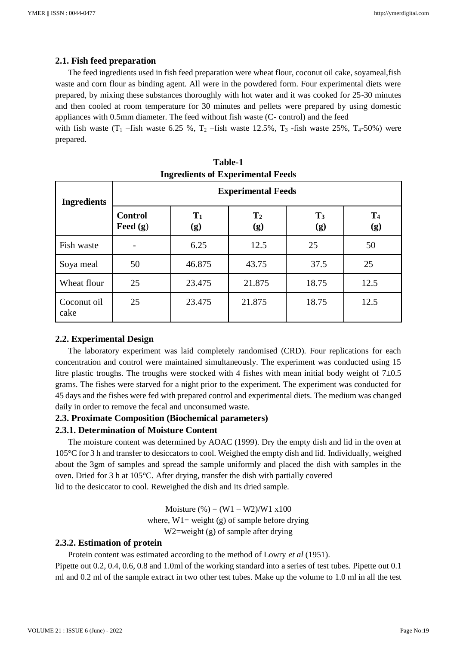# **2.1. Fish feed preparation**

 The feed ingredients used in fish feed preparation were wheat flour, coconut oil cake, soyameal,fish waste and corn flour as binding agent. All were in the powdered form. Four experimental diets were prepared, by mixing these substances thoroughly with hot water and it was cooked for 25-30 minutes and then cooled at room temperature for 30 minutes and pellets were prepared by using domestic appliances with 0.5mm diameter. The feed without fish waste (C- control) and the feed

with fish waste  $(T_1$  –fish waste 6.25 %,  $T_2$  –fish waste 12.5%,  $T_3$  -fish waste 25%,  $T_4$ -50%) were prepared.

| <b>Ingredients</b>  | <b>Experimental Feeds</b>    |              |                       |                       |                       |  |  |
|---------------------|------------------------------|--------------|-----------------------|-----------------------|-----------------------|--|--|
|                     | <b>Control</b><br>Feed $(g)$ | $T_1$<br>(g) | $\mathbf{T}_2$<br>(g) | $\mathbf{T}_3$<br>(g) | T <sub>4</sub><br>(g) |  |  |
| Fish waste          |                              | 6.25         | 12.5                  | 25                    | 50                    |  |  |
| Soya meal           | 50                           | 46.875       | 43.75                 | 37.5                  | 25                    |  |  |
| Wheat flour         | 25                           | 23.475       | 21.875                | 18.75                 | 12.5                  |  |  |
| Coconut oil<br>cake | 25                           | 23.475       | 21.875                | 18.75                 | 12.5                  |  |  |

| <b>Table-1</b>                           |
|------------------------------------------|
| <b>Ingredients of Experimental Feeds</b> |

# **2.2. Experimental Design**

 The laboratory experiment was laid completely randomised (CRD). Four replications for each concentration and control were maintained simultaneously. The experiment was conducted using 15 litre plastic troughs. The troughs were stocked with 4 fishes with mean initial body weight of  $7\pm0.5$ grams. The fishes were starved for a night prior to the experiment. The experiment was conducted for 45 days and the fishes were fed with prepared control and experimental diets. The medium was changed daily in order to remove the fecal and unconsumed waste.

# **2.3. Proximate Composition (Biochemical parameters)**

## **2.3.1. Determination of Moisture Content**

 The moisture content was determined by AOAC (1999). Dry the empty dish and lid in the oven at 105°C for 3 h and transfer to desiccators to cool. Weighed the empty dish and lid. Individually, weighed about the 3gm of samples and spread the sample uniformly and placed the dish with samples in the oven. Dried for 3 h at 105°C. After drying, transfer the dish with partially covered lid to the desiccator to cool. Reweighed the dish and its dried sample.

> Moisture  $\frac{6}{9} = (W1 - W2)/W1$  x100 where,  $W1$  = weight (g) of sample before drying W2=weight (g) of sample after drying

# **2.3.2. Estimation of protein**

 Protein content was estimated according to the method of Lowry *et al* (1951). Pipette out 0.2, 0.4, 0.6, 0.8 and 1.0ml of the working standard into a series of test tubes. Pipette out 0.1 ml and 0.2 ml of the sample extract in two other test tubes. Make up the volume to 1.0 ml in all the test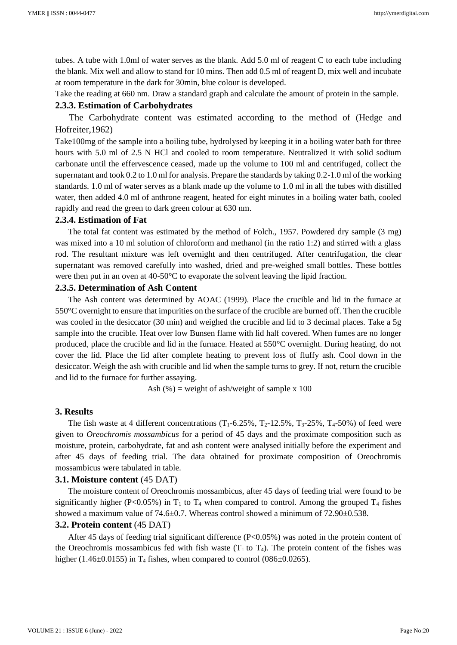tubes. A tube with 1.0ml of water serves as the blank. Add 5.0 ml of reagent C to each tube including the blank. Mix well and allow to stand for 10 mins. Then add 0.5 ml of reagent D, mix well and incubate at room temperature in the dark for 30min, blue colour is developed.

Take the reading at 660 nm. Draw a standard graph and calculate the amount of protein in the sample.

#### **2.3.3. Estimation of Carbohydrates**

 The Carbohydrate content was estimated according to the method of (Hedge and Hofreiter,1962)

Take100mg of the sample into a boiling tube, hydrolysed by keeping it in a boiling water bath for three hours with 5.0 ml of 2.5 N HCl and cooled to room temperature. Neutralized it with solid sodium carbonate until the effervescence ceased, made up the volume to 100 ml and centrifuged, collect the supernatant and took 0.2 to 1.0 ml for analysis. Prepare the standards by taking 0.2-1.0 ml of the working standards. 1.0 ml of water serves as a blank made up the volume to 1.0 ml in all the tubes with distilled water, then added 4.0 ml of anthrone reagent, heated for eight minutes in a boiling water bath, cooled rapidly and read the green to dark green colour at 630 nm.

#### **2.3.4. Estimation of Fat**

 The total fat content was estimated by the method of Folch., 1957. Powdered dry sample (3 mg) was mixed into a 10 ml solution of chloroform and methanol (in the ratio 1:2) and stirred with a glass rod. The resultant mixture was left overnight and then centrifuged. After centrifugation, the clear supernatant was removed carefully into washed, dried and pre-weighed small bottles. These bottles were then put in an oven at 40-50°C to evaporate the solvent leaving the lipid fraction.

# **2.3.5. Determination of Ash Content**

 The Ash content was determined by AOAC (1999). Place the crucible and lid in the furnace at 550°C overnight to ensure that impurities on the surface of the crucible are burned off. Then the crucible was cooled in the desiccator (30 min) and weighed the crucible and lid to 3 decimal places. Take a 5g sample into the crucible. Heat over low Bunsen flame with lid half covered. When fumes are no longer produced, place the crucible and lid in the furnace. Heated at 550°C overnight. During heating, do not cover the lid. Place the lid after complete heating to prevent loss of fluffy ash. Cool down in the desiccator. Weigh the ash with crucible and lid when the sample turns to grey. If not, return the crucible and lid to the furnace for further assaying.

Ash  $(\%)$  = weight of ash/weight of sample x 100

# **3. Results**

The fish waste at 4 different concentrations  $(T_1-6.25\%, T_2-12.5\%, T_3-25\%, T_4-50\%)$  of feed were given to *Oreochromis mossambicus* for a period of 45 days and the proximate composition such as moisture, protein, carbohydrate, fat and ash content were analysed initially before the experiment and after 45 days of feeding trial. The data obtained for proximate composition of Oreochromis mossambicus were tabulated in table.

#### **3.1. Moisture content** (45 DAT)

 The moisture content of Oreochromis mossambicus, after 45 days of feeding trial were found to be significantly higher (P<0.05%) in  $T_1$  to  $T_4$  when compared to control. Among the grouped  $T_4$  fishes showed a maximum value of 74.6±0.7. Whereas control showed a minimum of 72.90±0.538.

# **3.2. Protein content** (45 DAT)

 After 45 days of feeding trial significant difference (P<0.05%) was noted in the protein content of the Oreochromis mossambicus fed with fish waste  $(T_1$  to  $T_4)$ . The protein content of the fishes was higher (1.46 $\pm$ 0.0155) in T<sub>4</sub> fishes, when compared to control (086 $\pm$ 0.0265).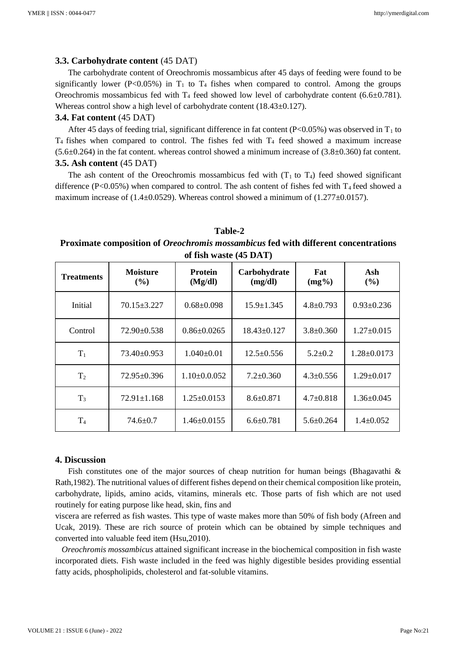## **3.3. Carbohydrate content** (45 DAT)

 The carbohydrate content of Oreochromis mossambicus after 45 days of feeding were found to be significantly lower (P<0.05%) in  $T_1$  to  $T_4$  fishes when compared to control. Among the groups Oreochromis mossambicus fed with  $T_4$  feed showed low level of carbohydrate content (6.6 $\pm$ 0.781). Whereas control show a high level of carbohydrate content (18.43±0.127).

# **3.4. Fat content** (45 DAT)

After 45 days of feeding trial, significant difference in fat content (P<0.05%) was observed in  $T_1$  to  $T_4$  fishes when compared to control. The fishes fed with  $T_4$  feed showed a maximum increase  $(5.6\pm0.264)$  in the fat content. whereas control showed a minimum increase of  $(3.8\pm0.360)$  fat content. **3.5. Ash content** (45 DAT)

The ash content of the Oreochromis mossambicus fed with  $(T_1$  to  $T_4$ ) feed showed significant difference (P<0.05%) when compared to control. The ash content of fishes fed with  $T_4$  feed showed a maximum increase of  $(1.4\pm 0.0529)$ . Whereas control showed a minimum of  $(1.277\pm 0.0157)$ .

## **Table-2**

# **Proximate composition of** *Oreochromis mossambicus* **fed with different concentrations of fish waste (45 DAT)**

| <b>Treatments</b> | <b>Moisture</b><br>(%) | <b>Protein</b><br>(Mg/dl) | Carbohydrate<br>(mg/dl) | Fat<br>$(mg\%)$ | Ash<br>(%)        |
|-------------------|------------------------|---------------------------|-------------------------|-----------------|-------------------|
| Initial           | $70.15 \pm 3.227$      | $0.68 \pm 0.098$          | $15.9 \pm 1.345$        | $4.8 \pm 0.793$ | $0.93 \pm 0.236$  |
| Control           | 72.90±0.538            | $0.86 \pm 0.0265$         | $18.43 \pm 0.127$       | $3.8 \pm 0.360$ | $1.27 \pm 0.015$  |
| $T_1$             | 73.40±0.953            | $1.040\pm0.01$            | $12.5 \pm 0.556$        | $5.2 \pm 0.2$   | $1.28 \pm 0.0173$ |
| T <sub>2</sub>    | $72.95 \pm 0.396$      | $1.10\pm0.0.052$          | $7.2 \pm 0.360$         | $4.3 \pm 0.556$ | $1.29 \pm 0.017$  |
| $T_3$             | $72.91 \pm 1.168$      | $1.25 \pm 0.0153$         | $8.6 \pm 0.871$         | $4.7 \pm 0.818$ | $1.36 \pm 0.045$  |
| T <sub>4</sub>    | $74.6 \pm 0.7$         | $1.46 \pm 0.0155$         | $6.6 \pm 0.781$         | $5.6 \pm 0.264$ | $1.4 \pm 0.052$   |

## **4. Discussion**

Fish constitutes one of the major sources of cheap nutrition for human beings (Bhagavathi  $\&$ Rath,1982). The nutritional values of different fishes depend on their chemical composition like protein, carbohydrate, lipids, amino acids, vitamins, minerals etc. Those parts of fish which are not used routinely for eating purpose like head, skin, fins and

viscera are referred as fish wastes. This type of waste makes more than 50% of fish body (Afreen and Ucak, 2019). These are rich source of protein which can be obtained by simple techniques and converted into valuable feed item (Hsu,2010).

 *Oreochromis mossambicus* attained significant increase in the biochemical composition in fish waste incorporated diets. Fish waste included in the feed was highly digestible besides providing essential fatty acids, phospholipids, cholesterol and fat-soluble vitamins.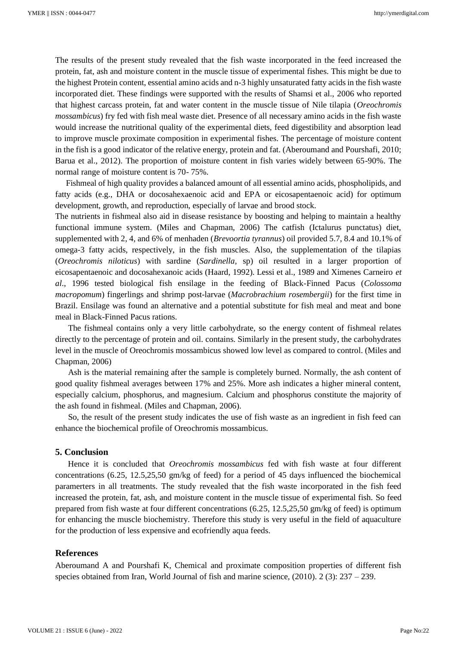The results of the present study revealed that the fish waste incorporated in the feed increased the protein, fat, ash and moisture content in the muscle tissue of experimental fishes. This might be due to the highest Protein content, essential amino acids and n-3 highly unsaturated fatty acids in the fish waste incorporated diet. These findings were supported with the results of Shamsi et al., 2006 who reported that highest carcass protein, fat and water content in the muscle tissue of Nile tilapia (*Oreochromis mossambicus*) fry fed with fish meal waste diet. Presence of all necessary amino acids in the fish waste would increase the nutritional quality of the experimental diets, feed digestibility and absorption lead to improve muscle proximate composition in experimental fishes. The percentage of moisture content in the fish is a good indicator of the relative energy, protein and fat. (Aberoumand and Pourshafi, 2010; Barua et al., 2012). The proportion of moisture content in fish varies widely between 65-90%. The normal range of moisture content is 70- 75%.

 Fishmeal of high quality provides a balanced amount of all essential amino acids, phospholipids, and fatty acids (e.g., DHA or docosahexaenoic acid and EPA or eicosapentaenoic acid) for optimum development, growth, and reproduction, especially of larvae and brood stock.

The nutrients in fishmeal also aid in disease resistance by boosting and helping to maintain a healthy functional immune system. (Miles and Chapman, 2006) The catfish (Ictalurus punctatus) diet, supplemented with 2, 4, and 6% of menhaden (*Brevoortia tyrannus*) oil provided 5.7, 8.4 and 10.1% of omega-3 fatty acids, respectively, in the fish muscles. Also, the supplementation of the tilapias (*Oreochromis niloticus*) with sardine (*Sardinella,* sp) oil resulted in a larger proportion of eicosapentaenoic and docosahexanoic acids (Haard, 1992). Lessi et al., 1989 and Ximenes Carneiro *et al*., 1996 tested biological fish ensilage in the feeding of Black-Finned Pacus (*Colossoma macropomum*) fingerlings and shrimp post-larvae (*Macrobrachium rosembergii*) for the first time in Brazil. Ensilage was found an alternative and a potential substitute for fish meal and meat and bone meal in Black-Finned Pacus rations.

 The fishmeal contains only a very little carbohydrate, so the energy content of fishmeal relates directly to the percentage of protein and oil. contains. Similarly in the present study, the carbohydrates level in the muscle of Oreochromis mossambicus showed low level as compared to control. (Miles and Chapman, 2006)

 Ash is the material remaining after the sample is completely burned. Normally, the ash content of good quality fishmeal averages between 17% and 25%. More ash indicates a higher mineral content, especially calcium, phosphorus, and magnesium. Calcium and phosphorus constitute the majority of the ash found in fishmeal. (Miles and Chapman, 2006).

 So, the result of the present study indicates the use of fish waste as an ingredient in fish feed can enhance the biochemical profile of Oreochromis mossambicus.

# **5. Conclusion**

 Hence it is concluded that *Oreochromis mossambicus* fed with fish waste at four different concentrations (6.25, 12.5,25,50 gm/kg of feed) for a period of 45 days influenced the biochemical paramerters in all treatments. The study revealed that the fish waste incorporated in the fish feed increased the protein, fat, ash, and moisture content in the muscle tissue of experimental fish. So feed prepared from fish waste at four different concentrations (6.25, 12.5,25,50 gm/kg of feed) is optimum for enhancing the muscle biochemistry. Therefore this study is very useful in the field of aquaculture for the production of less expensive and ecofriendly aqua feeds.

## **References**

Aberoumand A and Pourshafi K, Chemical and proximate composition properties of different fish species obtained from Iran, World Journal of fish and marine science, (2010). 2 (3): 237 – 239.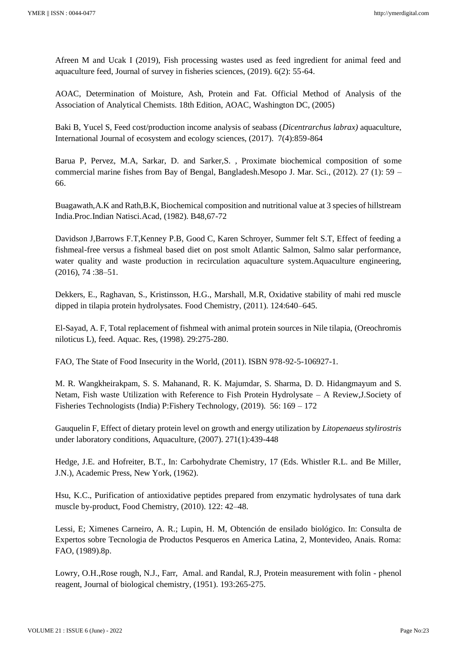Afreen M and Ucak I (2019), Fish processing wastes used as feed ingredient for animal feed and aquaculture feed, Journal of survey in fisheries sciences, (2019). 6(2): 55-64.

AOAC, Determination of Moisture, Ash, Protein and Fat. Official Method of Analysis of the Association of Analytical Chemists. 18th Edition, AOAC, Washington DC, (2005)

Baki B, Yucel S, Feed cost/production income analysis of seabass (*Dicentrarchus labrax)* aquaculture, International Journal of ecosystem and ecology sciences, (2017). 7(4):859-864

Barua P, Pervez, M.A, Sarkar, D. and Sarker,S. , Proximate biochemical composition of some commercial marine fishes from Bay of Bengal, Bangladesh.Mesopo J. Mar. Sci., (2012). 27 (1): 59 – 66.

Buagawath,A.K and Rath,B.K, Biochemical composition and nutritional value at 3 species of hillstream India.Proc.Indian Natisci.Acad, (1982). B48,67-72

Davidson J,Barrows F.T,Kenney P.B, Good C, Karen Schroyer, Summer felt S.T, Effect of feeding a fishmeal-free versus a fishmeal based diet on post smolt Atlantic Salmon, Salmo salar performance, water quality and waste production in recirculation aquaculture system.Aquaculture engineering, (2016), 74 :38–51.

Dekkers, E., Raghavan, S., Kristinsson, H.G., Marshall, M.R, Oxidative stability of mahi red muscle dipped in tilapia protein hydrolysates. Food Chemistry, (2011). 124:640–645.

El-Sayad, A. F, Total replacement of fishmeal with animal protein sources in Nile tilapia, (Oreochromis niloticus L), feed. Aquac. Res, (1998). 29:275-280.

FAO, The State of Food Insecurity in the World, (2011). ISBN 978-92-5-106927-1.

M. R. Wangkheirakpam, S. S. Mahanand, R. K. Majumdar, S. Sharma, D. D. Hidangmayum and S. Netam, Fish waste Utilization with Reference to Fish Protein Hydrolysate – A Review,J.Society of Fisheries Technologists (India) P:Fishery Technology, (2019). 56: 169 – 172

Gauquelin F, Effect of dietary protein level on growth and energy utilization by *Litopenaeus stylirostris* under laboratory conditions, Aquaculture, (2007). 271(1):439-448

Hedge, J.E. and Hofreiter, B.T., In: Carbohydrate Chemistry, 17 (Eds. Whistler R.L. and Be Miller, J.N.), Academic Press, New York, (1962).

Hsu, K.C., Purification of antioxidative peptides prepared from enzymatic hydrolysates of tuna dark muscle by-product, Food Chemistry, (2010). 122: 42–48.

Lessi, E; Ximenes Carneiro, A. R.; Lupin, H. M, Obtención de ensilado biológico. In: Consulta de Expertos sobre Tecnologia de Productos Pesqueros en America Latina, 2, Montevideo, Anais. Roma: FAO, (1989).8p.

Lowry, O.H.,Rose rough, N.J., Farr, Amal. and Randal, R.J, Protein measurement with folin - phenol reagent, Journal of biological chemistry, (1951). 193:265-275.